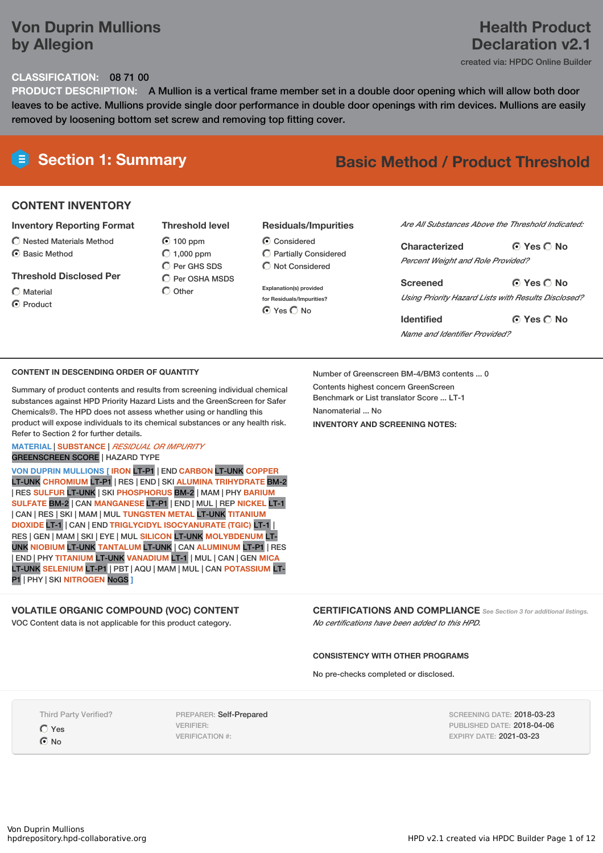### **Von Duprin Mullions by Allegion**

## **Health Product Declaration v2.1**

created via: HPDC Online Builder

### **CLASSIFICATION:** 08 71 00

**PRODUCT DESCRIPTION:** A Mullion is a vertical frame member set in a double door opening which will allow both door leaves to be active. Mullions provide single door performance in double door openings with rim devices. Mullions are easily removed by loosening bottom set screw and removing top fitting cover.

## **Section 1: Summary Basic Method / Product Threshold**

#### **CONTENT INVENTORY**

#### **Inventory Reporting Format**

- $\bigcirc$  Nested Materials Method
- C Rasic Method

#### **Threshold Disclosed Per**

Material **O** Product

 $\odot$  100 ppm  $O$  1,000 ppm C Per GHS SDS C Per OSHA MSDS  $\bigcap$  Other

**Threshold level**

#### **Residuals/Impurities**

- C Considered Partially Considered  $\bigcap$  Not Considered
- **Explanation(s) provided for Residuals/Impurities? O** Yes O No

#### *Are All Substances Above the Threshold Indicated:*

**Yes No Characterized** *Percent Weight and Role Provided?*

**Yes No Screened** *Using Priority Hazard Lists with Results Disclosed?*

**Yes No Identified** *Name and Identifier Provided?*

#### **CONTENT IN DESCENDING ORDER OF QUANTITY**

Summary of product contents and results from screening individual chemical substances against HPD Priority Hazard Lists and the GreenScreen for Safer Chemicals®. The HPD does not assess whether using or handling this product will expose individuals to its chemical substances or any health risk. Refer to Section 2 for further details.

#### **MATERIAL** | **SUBSTANCE** | *RESIDUAL OR IMPURITY* GREENSCREEN SCORE | HAZARD TYPE

**VON DUPRIN MULLIONS [ IRON** LT-P1 | END **CARBON** LT-UNK **COPPER** LT-UNK **CHROMIUM** LT-P1 | RES | END | SKI **ALUMINA TRIHYDRATE** BM-2 | RES **SULFUR** LT-UNK | SKI **PHOSPHORUS** BM-2 | MAM | PHY **BARIUM SULFATE** BM-2 | CAN **MANGANESE** LT-P1 | END | MUL | REP **NICKEL** LT-1 | CAN | RES | SKI | MAM | MUL **TUNGSTEN METAL** LT-UNK **TITANIUM DIOXIDE** LT-1 | CAN | END **TRIGLYCIDYL ISOCYANURATE (TGIC)** LT-1 | RES | GEN | MAM | SKI | EYE | MUL **SILICON** LT-UNK **MOLYBDENUM** LT-UNK **NIOBIUM** LT-UNK **TANTALUM** LT-UNK | CAN **ALUMINUM** LT-P1 | RES | END | PHY **TITANIUM** LT-UNK **VANADIUM** LT-1 | MUL | CAN | GEN **MICA** LT-UNK **SELENIUM** LT-P1 | PBT | AQU | MAM | MUL | CAN **POTASSIUM** LT-P1 | PHY | SKI **NITROGEN** NoGS **]**

#### **VOLATILE ORGANIC COMPOUND (VOC) CONTENT**

VOC Content data is not applicable for this product category.

Number of Greenscreen BM-4/BM3 contents ... 0 Contents highest concern GreenScreen Benchmark or List translator Score ... LT-1 Nanomaterial No. **INVENTORY AND SCREENING NOTES:**

**CERTIFICATIONS AND COMPLIANCE** *See Section <sup>3</sup> for additional listings.*

*No certifications have been added to this HPD.*

#### **CONSISTENCY WITH OTHER PROGRAMS**

No pre-checks completed or disclosed.

Third Party Verified?

Yes  $\odot$  No

PREPARER: Self-Prepared VERIFIER: VERIFICATION #:

SCREENING DATE: 2018-03-23 PUBLISHED DATE: 2018-04-06 EXPIRY DATE: 2021-03-23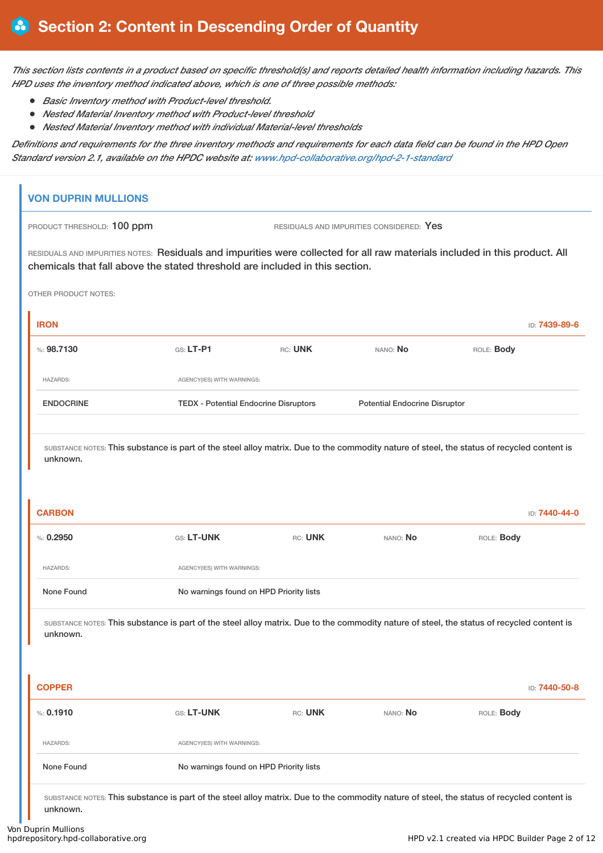This section lists contents in a product based on specific threshold(s) and reports detailed health information including hazards. This *HPD uses the inventory method indicated above, which is one of three possible methods:*

- *Basic Inventory method with Product-level threshold.*
- *Nested Material Inventory method with Product-level threshold*
- *Nested Material Inventory method with individual Material-level thresholds*

Definitions and requirements for the three inventory methods and requirements for each data field can be found in the HPD Open *Standard version 2.1, available on the HPDC website at: www.hpd-collaborative.org/hpd-2-1-standard*

| %: 0.2950<br><b>HAZARDS:</b><br>None Found<br>unknown.<br><b>COPPER</b><br>% 0.1910<br><b>HAZARDS:</b>                                                                                                      | GS: LT-UNK<br>AGENCY(IES) WITH WARNINGS:<br>No warnings found on HPD Priority lists<br>GS: LT-UNK<br>AGENCY(IES) WITH WARNINGS: | RC: UNK<br>RC: UNK | NANO: No<br>SUBSTANCE NOTES: This substance is part of the steel alloy matrix. Due to the commodity nature of steel, the status of recycled content is<br>NANO: No | ROLE: Body<br>ROLE: Body | ID: 7440-50-8 |
|-------------------------------------------------------------------------------------------------------------------------------------------------------------------------------------------------------------|---------------------------------------------------------------------------------------------------------------------------------|--------------------|--------------------------------------------------------------------------------------------------------------------------------------------------------------------|--------------------------|---------------|
|                                                                                                                                                                                                             |                                                                                                                                 |                    |                                                                                                                                                                    |                          |               |
|                                                                                                                                                                                                             |                                                                                                                                 |                    |                                                                                                                                                                    |                          |               |
|                                                                                                                                                                                                             |                                                                                                                                 |                    |                                                                                                                                                                    |                          |               |
|                                                                                                                                                                                                             |                                                                                                                                 |                    |                                                                                                                                                                    |                          |               |
|                                                                                                                                                                                                             |                                                                                                                                 |                    |                                                                                                                                                                    |                          |               |
|                                                                                                                                                                                                             |                                                                                                                                 |                    |                                                                                                                                                                    |                          |               |
|                                                                                                                                                                                                             |                                                                                                                                 |                    |                                                                                                                                                                    |                          |               |
| unknown.<br><b>CARBON</b>                                                                                                                                                                                   |                                                                                                                                 |                    | SUBSTANCE NOTES: This substance is part of the steel alloy matrix. Due to the commodity nature of steel, the status of recycled content is                         |                          | ID: 7440-44-0 |
| <b>ENDOCRINE</b>                                                                                                                                                                                            | <b>TEDX - Potential Endocrine Disruptors</b>                                                                                    |                    | <b>Potential Endocrine Disruptor</b>                                                                                                                               |                          |               |
| <b>HAZARDS:</b>                                                                                                                                                                                             | AGENCY(IES) WITH WARNINGS:                                                                                                      |                    |                                                                                                                                                                    |                          |               |
| %: 98,7130                                                                                                                                                                                                  | $G.S. LT-P1$                                                                                                                    | RC: UNK            | NANO: No                                                                                                                                                           | ROLE: Body               |               |
| <b>IRON</b>                                                                                                                                                                                                 |                                                                                                                                 |                    |                                                                                                                                                                    |                          | ID: 7439-89-6 |
| <b>OTHER PRODUCT NOTES:</b>                                                                                                                                                                                 |                                                                                                                                 |                    |                                                                                                                                                                    |                          |               |
| RESIDUALS AND IMPURITIES NOTES: Residuals and impurities were collected for all raw materials included in this product. All<br>chemicals that fall above the stated threshold are included in this section. |                                                                                                                                 |                    |                                                                                                                                                                    |                          |               |
|                                                                                                                                                                                                             |                                                                                                                                 |                    | RESIDUALS AND IMPURITIES CONSIDERED: Yes                                                                                                                           |                          |               |

Von Duprin Mullions<br>hpdrepository.hpd-collaborative.org

unknown.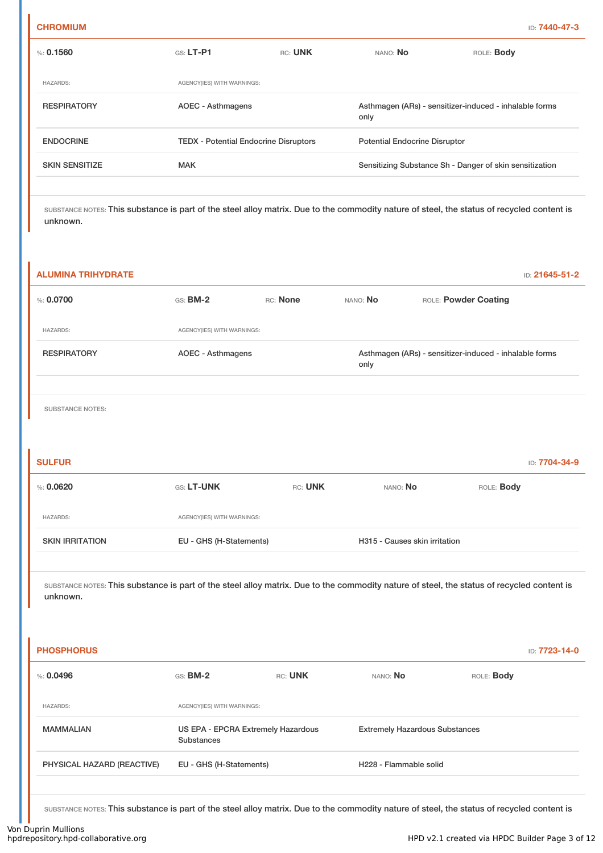| <b>CHROMIUM</b> | ID: 7440-47-3 |
|-----------------|---------------|
|-----------------|---------------|

| $\%: 0.1560$          | $G.S.$ LT-P1                                 | RC: UNK | NANO: No                             | ROLE: Body                                              |
|-----------------------|----------------------------------------------|---------|--------------------------------------|---------------------------------------------------------|
|                       |                                              |         |                                      |                                                         |
| <b>HAZARDS:</b>       | AGENCY(IES) WITH WARNINGS:                   |         |                                      |                                                         |
| <b>RESPIRATORY</b>    | AOEC - Asthmagens                            |         | only                                 | Asthmagen (ARs) - sensitizer-induced - inhalable forms  |
| <b>ENDOCRINE</b>      | <b>TEDX</b> - Potential Endocrine Disruptors |         | <b>Potential Endocrine Disruptor</b> |                                                         |
| <b>SKIN SENSITIZE</b> | <b>MAK</b>                                   |         |                                      | Sensitizing Substance Sh - Danger of skin sensitization |
|                       |                                              |         |                                      |                                                         |

# **ALUMINA TRIHYDRATE** ID: **21645-51-2** %: **0.0700 GS: BM-2** RC: **None NANO: No** ROLE: **Powder Coating** HAZARDS: AGENCY(IES) WITH WARNINGS: RESPIRATORY **AOEC - Asthmagens** And Asthmagen (ARs) - sensitizer-induced - inhalable forms only SUBSTANCE NOTES: **SULFUR** ID: **7704-34-9**

| %: 0.0620              | <b>GS: LT-UNK</b>          | RC: UNK | NANO: No                      | ROLE: <b>Body</b> |
|------------------------|----------------------------|---------|-------------------------------|-------------------|
| <b>HAZARDS:</b>        | AGENCY(IES) WITH WARNINGS: |         |                               |                   |
| <b>SKIN IRRITATION</b> | EU - GHS (H-Statements)    |         | H315 - Causes skin irritation |                   |

SUBSTANCE NOTES: This substance is part of the steel alloy matrix. Due to the commodity nature of steel, the status of recycled content is unknown.

| <b>PHOSPHORUS</b>          |                                                  |         |                                       |                   | ID: 7723-14-0 |
|----------------------------|--------------------------------------------------|---------|---------------------------------------|-------------------|---------------|
| $\%: 0.0496$               | $GS:$ BM-2                                       | RC: UNK | NANO: No                              | ROLE: <b>Body</b> |               |
| <b>HAZARDS:</b>            | AGENCY(IES) WITH WARNINGS:                       |         |                                       |                   |               |
| <b>MAMMALIAN</b>           | US EPA - EPCRA Extremely Hazardous<br>Substances |         | <b>Extremely Hazardous Substances</b> |                   |               |
| PHYSICAL HAZARD (REACTIVE) | EU - GHS (H-Statements)                          |         | H228 - Flammable solid                |                   |               |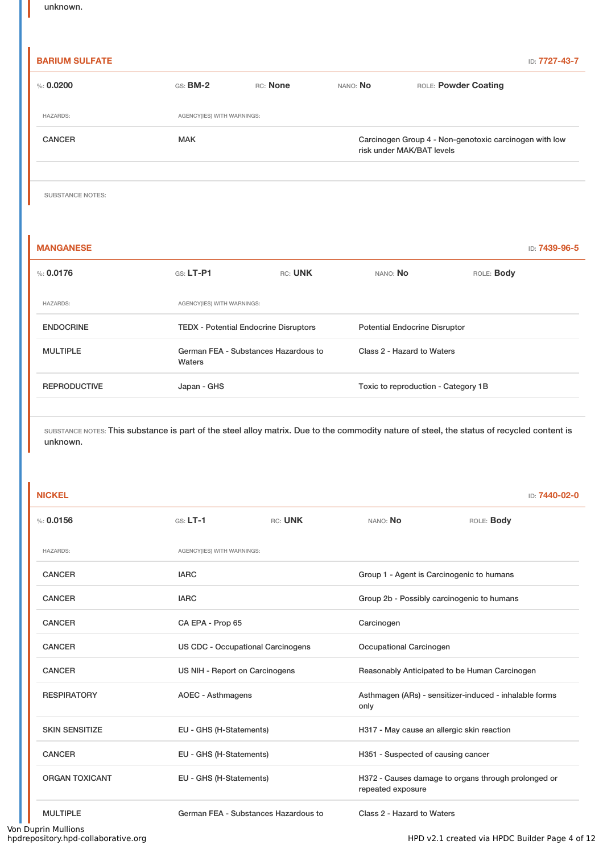## **BARIUM SULFATE** ID: **7727-43-7** %: **0.0200** GS: **BM-2** RC: **None** NANO: **No** ROLE: **Powder Coating** HAZARDS: AGENCY(IES) WITH WARNINGS: CANCER MAK MAK Carcinogen Group 4 - Non-genotoxic carcinogen with low risk under MAK/BAT levels

SUBSTANCE NOTES:

**MANGANESE** ID: **7439-96-5** %: **0.0176** GS: **LT-P1** RC: **UNK** NANO: **No** ROLE: **Body** HAZARDS: AGENCY(IES) WITH WARNINGS: ENDOCRINE TEDX - Potential Endocrine Disruptors Potential Endocrine Disruptor MULTIPLE German FEA - Substances Hazardous to Waters Class 2 - Hazard to Waters REPRODUCTIVE Japan - GHS Toxic to reproduction - Category 1B

SUBSTANCE NOTES: This substance is part of the steel alloy matrix. Due to the commodity nature of steel, the status of recycled content is unknown.

| <b>NICKEL</b>         |                                          |         |                                               | <b>ID: 7440-02-0</b>                                   |  |
|-----------------------|------------------------------------------|---------|-----------------------------------------------|--------------------------------------------------------|--|
| % 0.0156              | $GS: LT-1$                               | RC: UNK | NANO: No                                      | ROLE: Body                                             |  |
| <b>HAZARDS:</b>       | AGENCY(IES) WITH WARNINGS:               |         |                                               |                                                        |  |
| <b>CANCER</b>         | <b>IARC</b>                              |         |                                               | Group 1 - Agent is Carcinogenic to humans              |  |
| <b>CANCER</b>         | <b>IARC</b>                              |         |                                               | Group 2b - Possibly carcinogenic to humans             |  |
| <b>CANCER</b>         | CA EPA - Prop 65                         |         | Carcinogen                                    |                                                        |  |
| <b>CANCER</b>         | <b>US CDC - Occupational Carcinogens</b> |         | Occupational Carcinogen                       |                                                        |  |
| <b>CANCER</b>         | US NIH - Report on Carcinogens           |         | Reasonably Anticipated to be Human Carcinogen |                                                        |  |
| <b>RESPIRATORY</b>    | <b>AOEC - Asthmagens</b>                 |         |                                               | Asthmagen (ARs) - sensitizer-induced - inhalable forms |  |
| <b>SKIN SENSITIZE</b> | EU - GHS (H-Statements)                  |         | H317 - May cause an allergic skin reaction    |                                                        |  |
| <b>CANCER</b>         | EU - GHS (H-Statements)                  |         | H351 - Suspected of causing cancer            |                                                        |  |
| <b>ORGAN TOXICANT</b> | EU - GHS (H-Statements)                  |         | repeated exposure                             | H372 - Causes damage to organs through prolonged or    |  |
| <b>MULTIPLE</b>       | German FEA - Substances Hazardous to     |         | Class 2 - Hazard to Waters                    |                                                        |  |

Von Duprin Mullions<br>hpdrepository.hpd-collaborative.org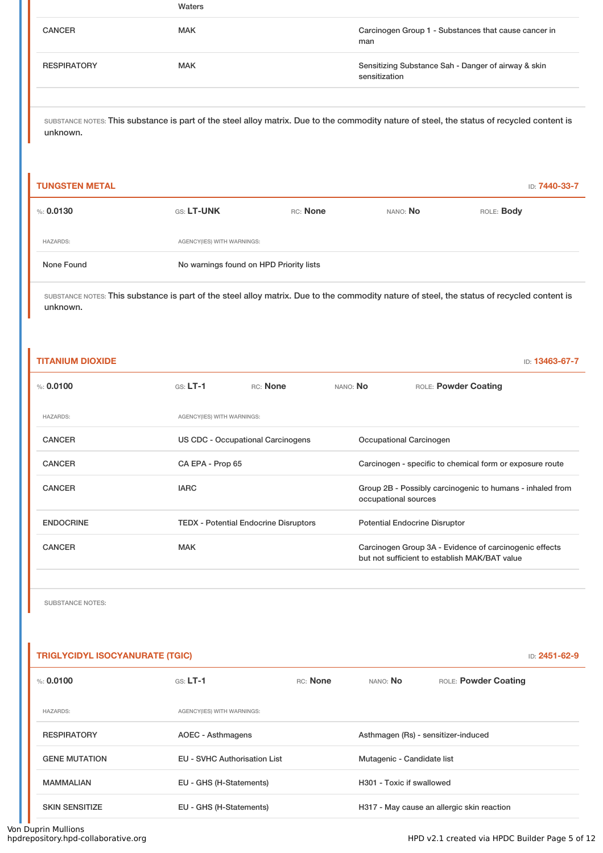|                    | Waters     |                                                                      |
|--------------------|------------|----------------------------------------------------------------------|
| <b>CANCER</b>      | <b>MAK</b> | Carcinogen Group 1 - Substances that cause cancer in<br>man          |
| <b>RESPIRATORY</b> | <b>MAK</b> | Sensitizing Substance Sah - Danger of airway & skin<br>sensitization |
|                    |            |                                                                      |

#### **TUNGSTEN METAL** ID: **7440-33-7**

| $\%$ : 0.0130   | GS: LT-UNK                              | RC: None | NANO: <b>No</b> | ROLE: <b>Body</b> |  |  |
|-----------------|-----------------------------------------|----------|-----------------|-------------------|--|--|
| <b>HAZARDS:</b> | AGENCY(IES) WITH WARNINGS:              |          |                 |                   |  |  |
| None Found      | No warnings found on HPD Priority lists |          |                 |                   |  |  |

SUBSTANCE NOTES: This substance is part of the steel alloy matrix. Due to the commodity nature of steel, the status of recycled content is unknown.

| <b>TITANIUM DIOXIDE</b> |                                   |                                              |          | ID: 13463-67-7                                                                                          |
|-------------------------|-----------------------------------|----------------------------------------------|----------|---------------------------------------------------------------------------------------------------------|
| %: $0.0100$             | $GS: LT-1$                        | RC: None                                     | NANO: No | ROLE: Powder Coating                                                                                    |
| <b>HAZARDS:</b>         | AGENCY(IES) WITH WARNINGS:        |                                              |          |                                                                                                         |
| <b>CANCER</b>           | US CDC - Occupational Carcinogens |                                              |          | Occupational Carcinogen                                                                                 |
| <b>CANCER</b>           | CA EPA - Prop 65                  |                                              |          | Carcinogen - specific to chemical form or exposure route                                                |
| <b>CANCER</b>           | <b>IARC</b>                       |                                              |          | Group 2B - Possibly carcinogenic to humans - inhaled from<br>occupational sources                       |
| <b>ENDOCRINE</b>        |                                   | <b>TEDX</b> - Potential Endocrine Disruptors |          | <b>Potential Endocrine Disruptor</b>                                                                    |
| <b>CANCER</b>           | <b>MAK</b>                        |                                              |          | Carcinogen Group 3A - Evidence of carcinogenic effects<br>but not sufficient to establish MAK/BAT value |

SUBSTANCE NOTES:

í.

| <b>TRIGLYCIDYL ISOCYANURATE (TGIC)</b> |                                     |          |                                     |                                            | ID: 2451-62-9 |
|----------------------------------------|-------------------------------------|----------|-------------------------------------|--------------------------------------------|---------------|
| $\%: 0.0100$                           | $GS: LT-1$                          | RC: None | NANO: No                            | ROLE: Powder Coating                       |               |
| <b>HAZARDS:</b>                        | AGENCY(IES) WITH WARNINGS:          |          |                                     |                                            |               |
| <b>RESPIRATORY</b>                     | <b>AOEC - Asthmagens</b>            |          | Asthmagen (Rs) - sensitizer-induced |                                            |               |
| <b>GENE MUTATION</b>                   | <b>EU - SVHC Authorisation List</b> |          | Mutagenic - Candidate list          |                                            |               |
| <b>MAMMALIAN</b>                       | EU - GHS (H-Statements)             |          | H301 - Toxic if swallowed           |                                            |               |
| <b>SKIN SENSITIZE</b>                  | EU - GHS (H-Statements)             |          |                                     | H317 - May cause an allergic skin reaction |               |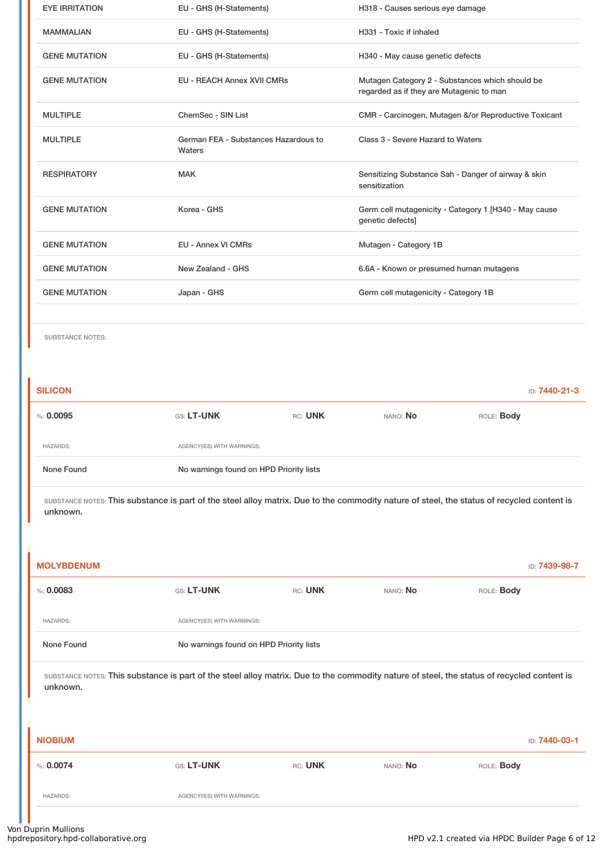| <b>EYE IRRITATION</b> | EU - GHS (H-Statements)                        | H318 - Causes serious eye damage                                                            |
|-----------------------|------------------------------------------------|---------------------------------------------------------------------------------------------|
| <b>MAMMALIAN</b>      | EU - GHS (H-Statements)                        | H331 - Toxic if inhaled                                                                     |
| <b>GENE MUTATION</b>  | EU - GHS (H-Statements)                        | H340 - May cause genetic defects                                                            |
| <b>GENE MUTATION</b>  | <b>EU - REACH Annex XVII CMRs</b>              | Mutagen Category 2 - Substances which should be<br>regarded as if they are Mutagenic to man |
| <b>MULTIPLE</b>       | ChemSec - SIN List                             | CMR - Carcinogen, Mutagen &/or Reproductive Toxicant                                        |
| <b>MULTIPLE</b>       | German FEA - Substances Hazardous to<br>Waters | Class 3 - Severe Hazard to Waters                                                           |
| <b>RESPIRATORY</b>    | <b>MAK</b>                                     | Sensitizing Substance Sah - Danger of airway & skin<br>sensitization                        |
| <b>GENE MUTATION</b>  | Korea - GHS                                    | Germ cell mutagenicity - Category 1 [H340 - May cause<br>genetic defects]                   |
| <b>GENE MUTATION</b>  | <b>EU - Annex VI CMRs</b>                      | Mutagen - Category 1B                                                                       |
| <b>GENE MUTATION</b>  | New Zealand - GHS                              | 6.6A - Known or presumed human mutagens                                                     |
| <b>GENE MUTATION</b>  | Japan - GHS                                    | Germ cell mutagenicity - Category 1B                                                        |
|                       |                                                |                                                                                             |

SUBSTANCE NOTES:

| <b>SILICON</b>  |                                         |         |                 | <b>ID: 7440-21-3</b> |
|-----------------|-----------------------------------------|---------|-----------------|----------------------|
| $\%$ : 0.0095   | <b>GS: LT-UNK</b>                       | RC: UNK | NANO: <b>No</b> | ROLE: <b>Body</b>    |
| <b>HAZARDS:</b> | AGENCY(IES) WITH WARNINGS:              |         |                 |                      |
| None Found      | No warnings found on HPD Priority lists |         |                 |                      |

| <b>MOLYBDENUM</b>                                                                                                                                      |                                         |         |          | ID: 7439-98-7 |
|--------------------------------------------------------------------------------------------------------------------------------------------------------|-----------------------------------------|---------|----------|---------------|
| % 0.0083                                                                                                                                               | GS: LT-UNK                              | RC: UNK | NANO: No | ROLE: Body    |
| <b>HAZARDS:</b>                                                                                                                                        | AGENCY(IES) WITH WARNINGS:              |         |          |               |
| None Found                                                                                                                                             | No warnings found on HPD Priority lists |         |          |               |
| SUBSTANCE NOTES: This substance is part of the steel alloy matrix. Due to the commodity nature of steel, the status of recycled content is<br>unknown. |                                         |         |          |               |
| <b>NIOBIUM</b>                                                                                                                                         |                                         |         |          | ID: 7440-03-1 |
| % 0.0074                                                                                                                                               | GS: LT-UNK                              | RC: UNK | NANO: No | ROLE: Body    |
| <b>HAZARDS:</b>                                                                                                                                        | AGENCY(IES) WITH WARNINGS:              |         |          |               |
|                                                                                                                                                        |                                         |         |          |               |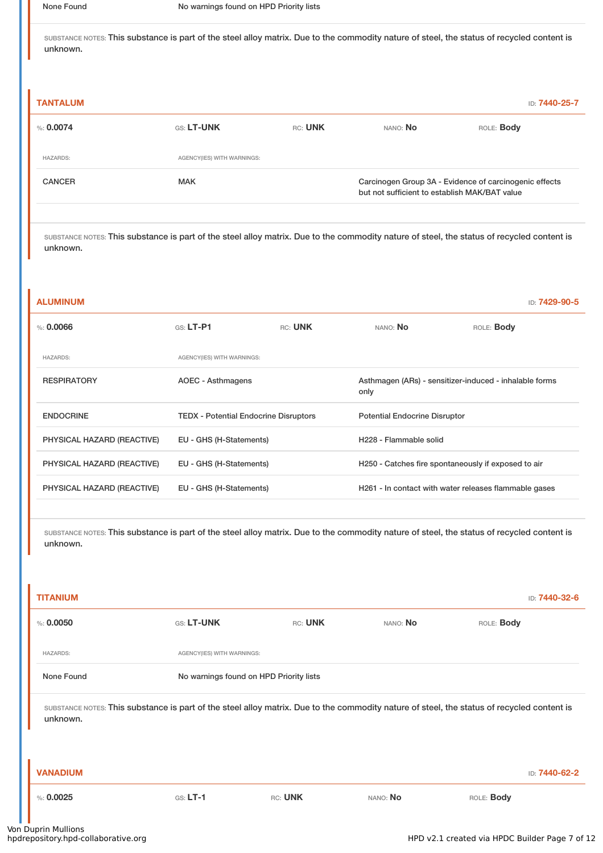| <b>TANTALUM</b> |                            |         |                                                                                                         | ID: 7440-25-7     |
|-----------------|----------------------------|---------|---------------------------------------------------------------------------------------------------------|-------------------|
| %: 0.0074       | <b>GS: LT-UNK</b>          | RC: UNK | NANO: No                                                                                                | ROLE: <b>Body</b> |
| <b>HAZARDS:</b> | AGENCY(IES) WITH WARNINGS: |         |                                                                                                         |                   |
| <b>CANCER</b>   | <b>MAK</b>                 |         | Carcinogen Group 3A - Evidence of carcinogenic effects<br>but not sufficient to establish MAK/BAT value |                   |

SUBSTANCE NOTES: This substance is part of the steel alloy matrix. Due to the commodity nature of steel, the status of recycled content is unknown.

| <b>ALUMINUM</b>            |                                              |         |                                      | ID: 7429-90-5                                          |
|----------------------------|----------------------------------------------|---------|--------------------------------------|--------------------------------------------------------|
| %: 0.0066                  | $G.S. LT-P1$                                 | RC: UNK | NANO: No                             | ROLE: Body                                             |
| <b>HAZARDS:</b>            | AGENCY(IES) WITH WARNINGS:                   |         |                                      |                                                        |
| <b>RESPIRATORY</b>         | AOEC - Asthmagens                            |         | only                                 | Asthmagen (ARs) - sensitizer-induced - inhalable forms |
| <b>ENDOCRINE</b>           | <b>TEDX</b> - Potential Endocrine Disruptors |         | <b>Potential Endocrine Disruptor</b> |                                                        |
| PHYSICAL HAZARD (REACTIVE) | EU - GHS (H-Statements)                      |         | H228 - Flammable solid               |                                                        |
| PHYSICAL HAZARD (REACTIVE) | EU - GHS (H-Statements)                      |         |                                      | H250 - Catches fire spontaneously if exposed to air    |
| PHYSICAL HAZARD (REACTIVE) | EU - GHS (H-Statements)                      |         |                                      | H261 - In contact with water releases flammable gases  |

| <b>TITANIUM</b>                                                                                                                                        |                            |                                         |          | ID: 7440-32-6     |  |  |
|--------------------------------------------------------------------------------------------------------------------------------------------------------|----------------------------|-----------------------------------------|----------|-------------------|--|--|
| % 0.0050                                                                                                                                               | GS: LT-UNK                 | RC: UNK                                 | NANO: No | ROLE: Body        |  |  |
| <b>HAZARDS:</b>                                                                                                                                        | AGENCY(IES) WITH WARNINGS: |                                         |          |                   |  |  |
| None Found                                                                                                                                             |                            | No warnings found on HPD Priority lists |          |                   |  |  |
| SUBSTANCE NOTES: This substance is part of the steel alloy matrix. Due to the commodity nature of steel, the status of recycled content is<br>unknown. |                            |                                         |          |                   |  |  |
|                                                                                                                                                        |                            |                                         |          |                   |  |  |
| <b>VANADIUM</b>                                                                                                                                        |                            |                                         |          | ID: 7440-62-2     |  |  |
| % 0.0025                                                                                                                                               | $GS: LT-1$                 | RC: UNK                                 | NANO: No | ROLE: <b>Body</b> |  |  |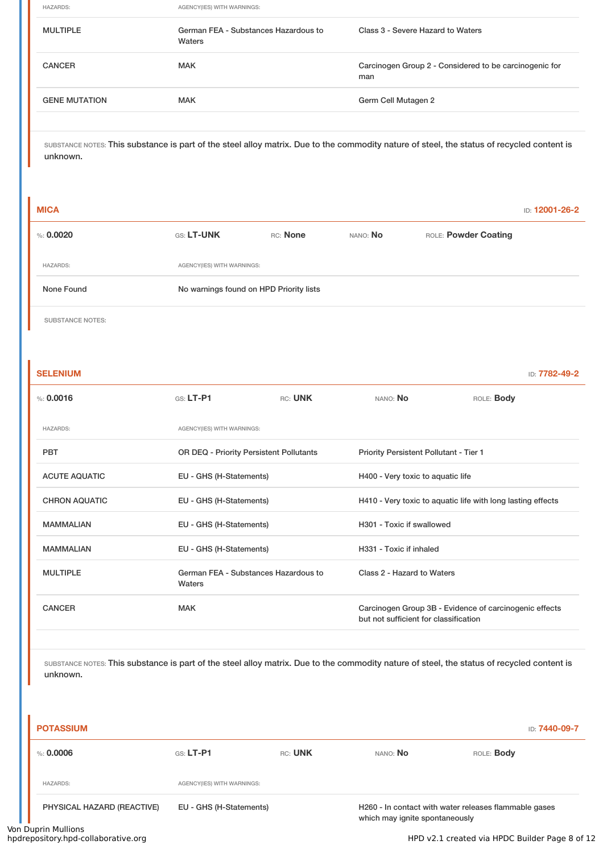HAZARDS: AGENCY(IES) WITH WARNINGS: MULTIPLE German FEA - Substances Hazardous to Waters Class 3 - Severe Hazard to Waters CANCER MAK MAK Carcinogen Group 2 - Considered to be carcinogenic for man GENE MUTATION MAK MAK GENE GERMINAL GERMINAL GERMINAL GERMINAL GERMINAL GERMINAL GERMINAL GERMINAL GERMINAL GE

SUBSTANCE NOTES: This substance is part of the steel alloy matrix. Due to the commodity nature of steel, the status of recycled content is unknown.

| <b>MICA</b>     |                                         |          |          |                      | <b>ID: 12001-26-2</b> |
|-----------------|-----------------------------------------|----------|----------|----------------------|-----------------------|
| $\%: 0.0020$    | <b>GS: LT-UNK</b>                       | RC: None | NANO: No | ROLE: Powder Coating |                       |
| <b>HAZARDS:</b> | AGENCY(IES) WITH WARNINGS:              |          |          |                      |                       |
| None Found      | No warnings found on HPD Priority lists |          |          |                      |                       |
|                 |                                         |          |          |                      |                       |

SUBSTANCE NOTES:

| <b>SELENIUM</b>      |                                                |         |                                                                                                 | ID: 7782-49-2     |  |
|----------------------|------------------------------------------------|---------|-------------------------------------------------------------------------------------------------|-------------------|--|
| % 0.0016             | $G.S. LT-P1$                                   | RC: UNK | NANO: No                                                                                        | ROLE: <b>Body</b> |  |
| <b>HAZARDS:</b>      | AGENCY(IES) WITH WARNINGS:                     |         |                                                                                                 |                   |  |
| <b>PBT</b>           | OR DEQ - Priority Persistent Pollutants        |         | Priority Persistent Pollutant - Tier 1                                                          |                   |  |
| <b>ACUTE AQUATIC</b> | EU - GHS (H-Statements)                        |         | H400 - Very toxic to aquatic life                                                               |                   |  |
| <b>CHRON AQUATIC</b> | EU - GHS (H-Statements)                        |         | H410 - Very toxic to aquatic life with long lasting effects                                     |                   |  |
| <b>MAMMALIAN</b>     | EU - GHS (H-Statements)                        |         | H301 - Toxic if swallowed                                                                       |                   |  |
| <b>MAMMALIAN</b>     | EU - GHS (H-Statements)                        |         | H331 - Toxic if inhaled                                                                         |                   |  |
| <b>MULTIPLE</b>      | German FEA - Substances Hazardous to<br>Waters |         | Class 2 - Hazard to Waters                                                                      |                   |  |
| <b>CANCER</b>        | <b>MAK</b>                                     |         | Carcinogen Group 3B - Evidence of carcinogenic effects<br>but not sufficient for classification |                   |  |

| <b>POTASSIUM</b><br>ID: <b>7440-09-7</b> |                            |         |                                |                                                       |
|------------------------------------------|----------------------------|---------|--------------------------------|-------------------------------------------------------|
| %: 0.0006                                | GS: LT-P1                  | RC: UNK | NANO: No                       | ROLE: <b>Body</b>                                     |
| <b>HAZARDS:</b>                          | AGENCY(IES) WITH WARNINGS: |         |                                |                                                       |
| PHYSICAL HAZARD (REACTIVE)               | EU - GHS (H-Statements)    |         | which may ignite spontaneously | H260 - In contact with water releases flammable gases |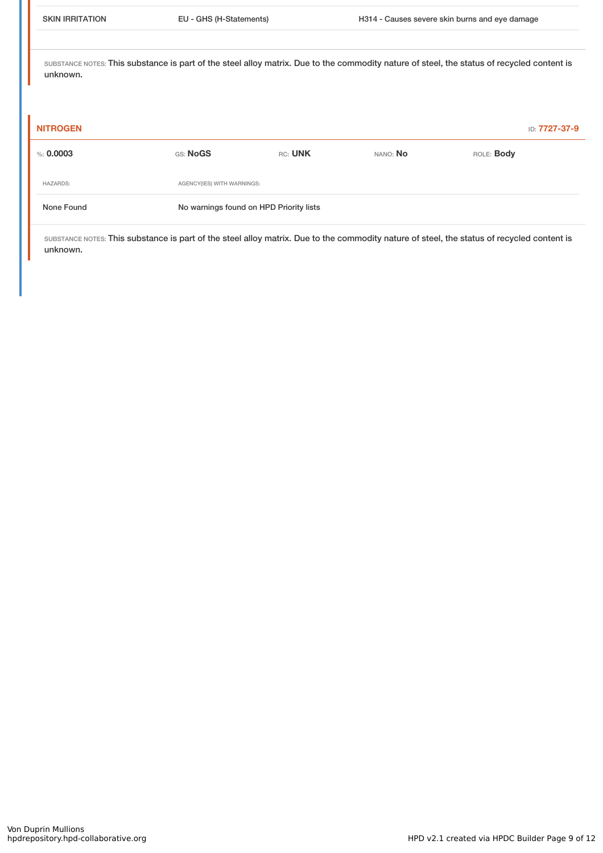| <b>NITROGEN</b> |                                         |         |          | ID: 7727-37-9 |  |
|-----------------|-----------------------------------------|---------|----------|---------------|--|
| %: $0.0003$     | GS: NoGS                                | RC: UNK | NANO: No | ROLE: Body    |  |
| <b>HAZARDS:</b> | AGENCY(IES) WITH WARNINGS:              |         |          |               |  |
| None Found      | No warnings found on HPD Priority lists |         |          |               |  |
|                 |                                         |         |          |               |  |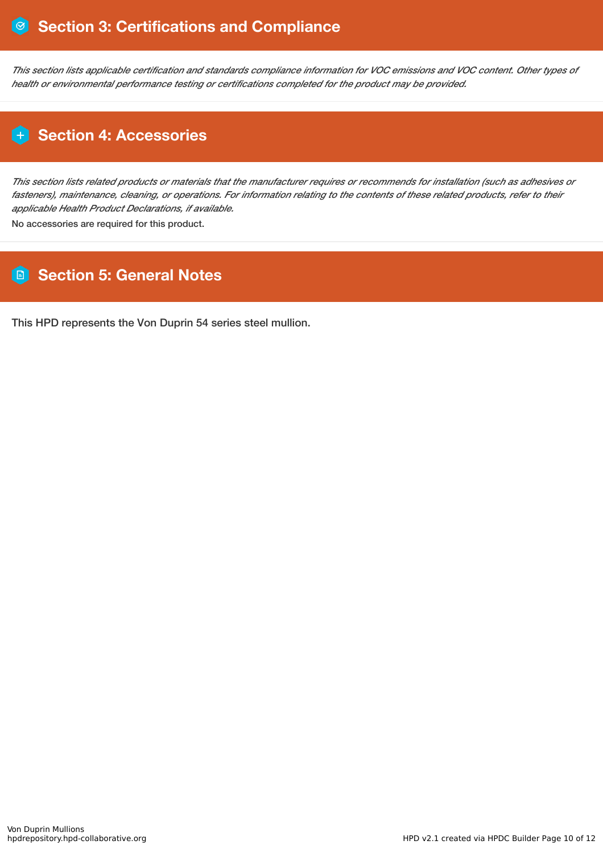This section lists applicable certification and standards compliance information for VOC emissions and VOC content. Other types of *health or environmental performance testing or certifications completed for the product may be provided.*

## **Section 4: Accessories**

This section lists related products or materials that the manufacturer requires or recommends for installation (such as adhesives or fasteners), maintenance, cleaning, or operations. For information relating to the contents of these related products, refer to their *applicable Health Product Declarations, if available.*

No accessories are required for this product.

## **Section 5: General Notes**

This HPD represents the Von Duprin 54 series steel mullion.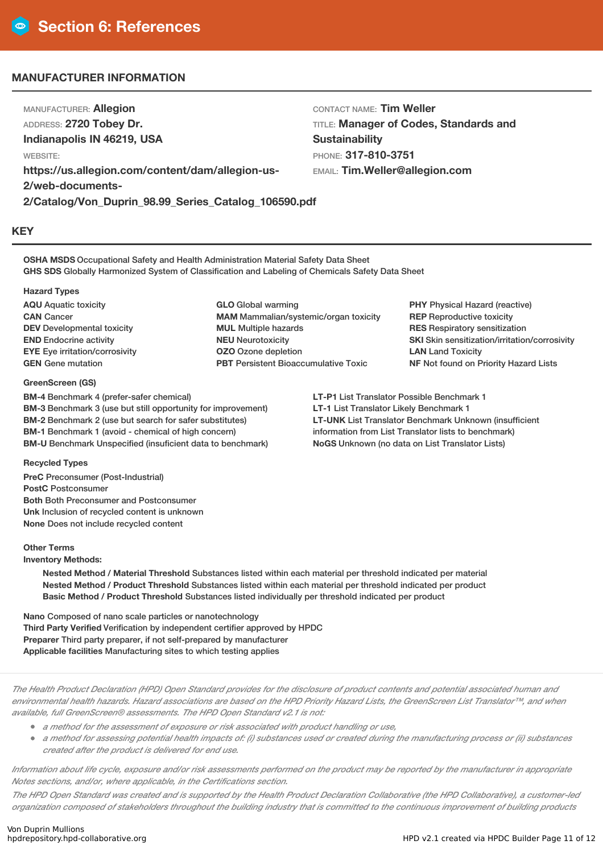### **MANUFACTURER INFORMATION**

MANUFACTURER: **Allegion** ADDRESS: **2720 Tobey Dr. Indianapolis IN 46219, USA** WEBSITE: **https://us.allegion.com/content/dam/allegion-us-2/web-documents-2/Catalog/Von\_Duprin\_98.99\_Series\_Catalog\_106590.pdf**

CONTACT NAME: **Tim Weller** TITLE: **Manager of Codes, Standards and Sustainability** PHONE: **317-810-3751** EMAIL: **Tim.Weller@allegion.com**

**KEY**

**OSHA MSDS** Occupational Safety and Health Administration Material Safety Data Sheet **GHS SDS** Globally Harmonized System of Classification and Labeling of Chemicals Safety Data Sheet

#### **Hazard Types**

**AQU** Aquatic toxicity **CAN** Cancer **DEV** Developmental toxicity **END** Endocrine activity **EYE** Eye irritation/corrosivity **GEN** Gene mutation

#### **GreenScreen (GS)**

**BM-4** Benchmark 4 (prefer-safer chemical) **BM-3** Benchmark 3 (use but still opportunity for improvement) **BM-2** Benchmark 2 (use but search for safer substitutes) **BM-1** Benchmark 1 (avoid - chemical of high concern) **BM-U** Benchmark Unspecified (insuficient data to benchmark)

**GLO** Global warming **MAM** Mammalian/systemic/organ toxicity **MUL** Multiple hazards **NEU** Neurotoxicity **OZO** Ozone depletion **PBT** Persistent Bioaccumulative Toxic

**PHY** Physical Hazard (reactive) **REP** Reproductive toxicity **RES** Respiratory sensitization **SKI** Skin sensitization/irritation/corrosivity **LAN** Land Toxicity **NF** Not found on Priority Hazard Lists

**LT-P1** List Translator Possible Benchmark 1 **LT-1** List Translator Likely Benchmark 1 **LT-UNK** List Translator Benchmark Unknown (insufficient information from List Translator lists to benchmark) **NoGS** Unknown (no data on List Translator Lists)

#### **Recycled Types**

**PreC** Preconsumer (Post-Industrial) **PostC** Postconsumer **Both** Both Preconsumer and Postconsumer **Unk** Inclusion of recycled content is unknown **None** Does not include recycled content

#### **Other Terms**

**Inventory Methods:**

**Nested Method / Material Threshold** Substances listed within each material per threshold indicated per material **Nested Method / Product Threshold** Substances listed within each material per threshold indicated per product **Basic Method / Product Threshold** Substances listed individually per threshold indicated per product

**Nano** Composed of nano scale particles or nanotechnology **Third Party Verified** Verification by independent certifier approved by HPDC **Preparer** Third party preparer, if not self-prepared by manufacturer **Applicable facilities** Manufacturing sites to which testing applies

The Health Product Declaration (HPD) Open Standard provides for the disclosure of product contents and potential associated human and environmental health hazards. Hazard associations are based on the HPD Priority Hazard Lists, the GreenScreen List Translator™, and when *available, full GreenScreen® assessments. The HPD Open Standard v2.1 is not:*

- *<sup>a</sup> method for the assessment of exposure or risk associated with product handling or use,*
- a method for assessing potential health impacts of: (i) substances used or created during the manufacturing process or (ii) substances *created after the product is delivered for end use.*

Information about life cycle, exposure and/or risk assessments performed on the product may be reported by the manufacturer in appropriate *Notes sections, and/or, where applicable, in the Certifications section.*

The HPD Open Standard was created and is supported by the Health Product Declaration Collaborative (the HPD Collaborative), a customer-led organization composed of stakeholders throughout the building industry that is committed to the continuous improvement of building products